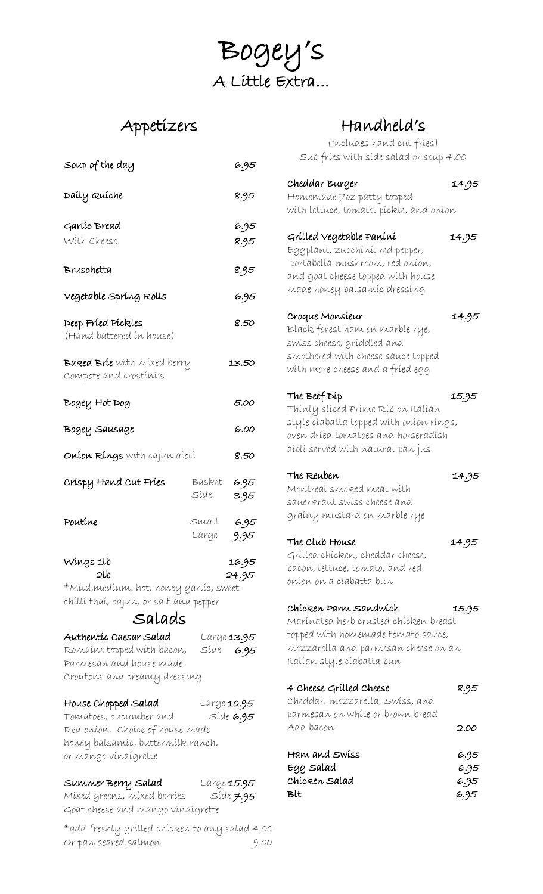Bogey's A Little Extra…

# Appetizers

| Soup of the day                                              |                | 6.95               |
|--------------------------------------------------------------|----------------|--------------------|
| Daily Quiche                                                 |                | 8.95               |
|                                                              |                |                    |
| Garlíc Bread                                                 |                | 6.95               |
| With Cheese                                                  |                | 8.95               |
| Bruschetta                                                   |                | 8.95               |
| Vegetable Spríng Rolls                                       |                | 6.95               |
| Deep Fried Pickles<br>(Hand battered in house)               |                | 8.50               |
| <b>Baked Brie</b> with mixed berry<br>Compote and crostini's |                | 13.50              |
| Bogey Hot Dog                                                |                | 5.00               |
| Bogey Sausage                                                |                | 6.00               |
| <b>Oníon Ríngs</b> wíth cajun aíolí                          |                | 8.50               |
| Crispy Hand Cut Fries                                        | Basket<br>Síde | 6.95<br>3.95       |
| Poutíne                                                      | Small<br>Large | 6.95<br>9.95       |
| Wings 1lb                                                    |                | 16.95              |
| 2lb                                                          |                | 24.95              |
| *Míld,medíum, hot, honey garlíc, sweet                       |                |                    |
| chíllí thaí, cajun, or salt and pepper<br>Salads             |                |                    |
|                                                              |                |                    |
| Authentíc Caesar Salad                                       |                | Large <b>13.95</b> |
| Romaine topped with bacon,                                   |                | Síde 6.95          |
| Parmesan and house made                                      |                |                    |
| Croutons and creamy dressing                                 |                |                    |
| House Chopped Salad                                          |                | Large <b>10.95</b> |
| Tomatoes, cucumber and                                       |                | Síde 6.95          |
| Red oníon. Choíce of house made                              |                |                    |
| honey balsamíc, buttermílk ranch,                            |                |                    |
| or mango vínaígrette                                         |                |                    |
| Summer Berry Salad                                           |                | Large <b>15.95</b> |
| Míxed greens, míxed berríes                                  |                | Síde 7.95          |
| Goat cheese and mango vinaigrette                            |                |                    |

\*add freshly grilled chicken to any salad 4.00 Or pan seared salmon

## Handheld's

{Includes hand cut fries} Sub fries with side salad or soup 4.00

| Cheddar Burger                          | 14.95 |
|-----------------------------------------|-------|
| Homemade 7oz patty topped               |       |
| wíth lettuce, tomato, píckle, and oníon |       |
|                                         |       |
| Grílled Vegetable Paníní                | 14.95 |
| Eggplant, zucchíní, red pepper,         |       |
| portabella mushroom, red oníon,         |       |
|                                         |       |
| and goat cheese topped with house       |       |
| made honey balsamíc dressíng            |       |
|                                         |       |
| Croque Monsíeur                         | 14.95 |
| Black forest ham on marble rye,         |       |
| swiss cheese, griddled and              |       |
| smothered with cheese sauce topped      |       |
| with more cheese and a fried egg        |       |
|                                         |       |
| The Beef Dip                            | 15.95 |
| Thínly slíced Príme Ríb on Italían      |       |
| style cíabatta topped wíth oníon ríngs, |       |
| oven dríed tomatoes and horseradísh     |       |
| aíolí served wíth natural pan jus       |       |
|                                         |       |
| The Reuben                              | 14.95 |
| Montreal smoked meat with               |       |
| sauerkraut swiss cheese and             |       |
|                                         |       |
| grainy mustard on marble rye            |       |
|                                         |       |
| The Club House                          | 14.95 |
| Grílled chícken, cheddar cheese,        |       |
| bacon, lettuce, tomato, and red         |       |
| oníon on a cíabatta bun                 |       |
|                                         |       |
| Chícken Parm Sandwích                   | 15.95 |
| Marínated herb crusted chícken breast   |       |
| topped with homemade tomato sauce,      |       |
| mozzarella and parmesan cheese on an    |       |
| italían style cíabatta bun              |       |
|                                         |       |
| 4 Cheese Grilled Cheese                 | 8.95  |
| Cheddar, mozzarella, Swiss, and         |       |
| parmesan on white or brown bread        |       |
| Add bacon                               | 2.00  |
|                                         |       |
| Ham and Swiss                           | 6.95  |
| Egg Salad                               | 6.95  |
| Chícken Salad                           | 6.95  |
| Blt                                     | 6.95  |